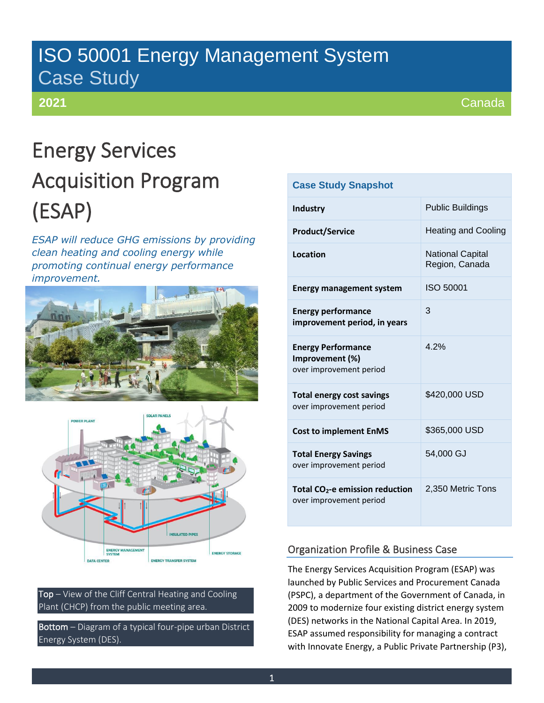## ISO 50001 Energy Management System Case Study

### **2021**

Canada

# Energy Services Acquisition Program (ESAP)

*ESAP will reduce GHG emissions by providing clean heating and cooling energy while promoting continual energy performance improvement.*





Top – View of the Cliff Central Heating and Cooling Plant (CHCP) from the public meeting area.

Bottom – Diagram of a typical four-pipe urban District Energy System (DES).

| <b>Case Study Snapshot</b>                                              |                                           |  |  |  |  |
|-------------------------------------------------------------------------|-------------------------------------------|--|--|--|--|
| Industry                                                                | <b>Public Buildings</b>                   |  |  |  |  |
| <b>Product/Service</b>                                                  | <b>Heating and Cooling</b>                |  |  |  |  |
| Location                                                                | <b>National Capital</b><br>Region, Canada |  |  |  |  |
| <b>Energy management system</b>                                         | ISO 50001                                 |  |  |  |  |
| <b>Energy performance</b><br>improvement period, in years               | 3                                         |  |  |  |  |
| <b>Energy Performance</b><br>Improvement (%)<br>over improvement period | 4 2%                                      |  |  |  |  |
| <b>Total energy cost savings</b><br>over improvement period             | \$420,000 USD                             |  |  |  |  |
| <b>Cost to implement EnMS</b>                                           | \$365,000 USD                             |  |  |  |  |
| <b>Total Energy Savings</b><br>over improvement period                  | 54,000 GJ                                 |  |  |  |  |
| Total CO <sub>2</sub> -e emission reduction<br>over improvement period  | 2,350 Metric Tons                         |  |  |  |  |

#### Organization Profile & Business Case

The Energy Services Acquisition Program (ESAP) was launched by Public Services and Procurement Canada (PSPC), a department of the Government of Canada, in 2009 to modernize four existing district energy system (DES) networks in the National Capital Area. In 2019, ESAP assumed responsibility for managing a contract with Innovate Energy, a Public Private Partnership (P3),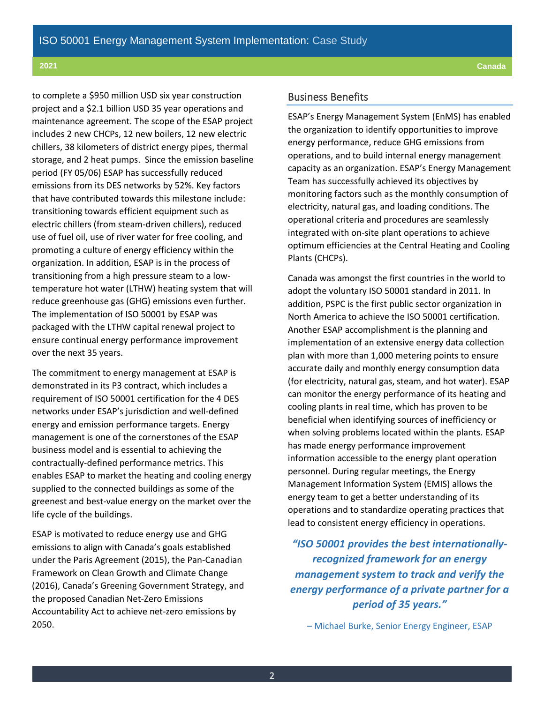to complete a \$950 million USD six year construction project and a \$2.1 billion USD 35 year operations and maintenance agreement. The scope of the ESAP project includes 2 new CHCPs, 12 new boilers, 12 new electric chillers, 38 kilometers of district energy pipes, thermal storage, and 2 heat pumps. Since the emission baseline period (FY 05/06) ESAP has successfully reduced emissions from its DES networks by 52%. Key factors that have contributed towards this milestone include: transitioning towards efficient equipment such as electric chillers (from steam-driven chillers), reduced use of fuel oil, use of river water for free cooling, and promoting a culture of energy efficiency within the organization. In addition, ESAP is in the process of transitioning from a high pressure steam to a lowtemperature hot water (LTHW) heating system that will reduce greenhouse gas (GHG) emissions even further. The implementation of ISO 50001 by ESAP was packaged with the LTHW capital renewal project to ensure continual energy performance improvement over the next 35 years.

The commitment to energy management at ESAP is demonstrated in its P3 contract, which includes a requirement of ISO 50001 certification for the 4 DES networks under ESAP's jurisdiction and well-defined energy and emission performance targets. Energy management is one of the cornerstones of the ESAP business model and is essential to achieving the contractually-defined performance metrics. This enables ESAP to market the heating and cooling energy supplied to the connected buildings as some of the greenest and best-value energy on the market over the life cycle of the buildings.

ESAP is motivated to reduce energy use and GHG emissions to align with Canada's goals established under the Paris Agreement (2015), the Pan-Canadian Framework on Clean Growth and Climate Change (2016), Canada's Greening Government Strategy, and the proposed Canadian Net-Zero Emissions Accountability Act to achieve net-zero emissions by 2050.

#### Business Benefits

ESAP's Energy Management System (EnMS) has enabled the organization to identify opportunities to improve energy performance, reduce GHG emissions from operations, and to build internal energy management capacity as an organization. ESAP's Energy Management Team has successfully achieved its objectives by monitoring factors such as the monthly consumption of electricity, natural gas, and loading conditions. The operational criteria and procedures are seamlessly integrated with on-site plant operations to achieve optimum efficiencies at the Central Heating and Cooling Plants (CHCPs).

Canada was amongst the first countries in the world to adopt the voluntary ISO 50001 standard in 2011. In addition, PSPC is the first public sector organization in North America to achieve the ISO 50001 certification. Another ESAP accomplishment is the planning and implementation of an extensive energy data collection plan with more than 1,000 metering points to ensure accurate daily and monthly energy consumption data (for electricity, natural gas, steam, and hot water). ESAP can monitor the energy performance of its heating and cooling plants in real time, which has proven to be beneficial when identifying sources of inefficiency or when solving problems located within the plants. ESAP has made energy performance improvement information accessible to the energy plant operation personnel. During regular meetings, the Energy Management Information System (EMIS) allows the energy team to get a better understanding of its operations and to standardize operating practices that lead to consistent energy efficiency in operations.

*"ISO 50001 provides the best internationallyrecognized framework for an energy management system to track and verify the energy performance of a private partner for a period of 35 years."* 

– Michael Burke, Senior Energy Engineer, ESAP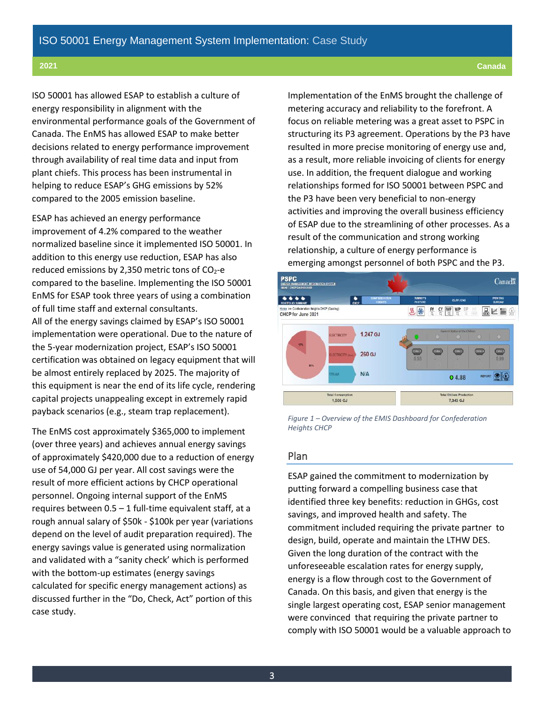ISO 50001 has allowed ESAP to establish a culture of energy responsibility in alignment with the environmental performance goals of the Government of Canada. The EnMS has allowed ESAP to make better decisions related to energy performance improvement through availability of real time data and input from plant chiefs. This process has been instrumental in helping to reduce ESAP's GHG emissions by 52% compared to the 2005 emission baseline.

ESAP has achieved an energy performance improvement of 4.2% compared to the weather normalized baseline since it implemented ISO 50001. In addition to this energy use reduction, ESAP has also reduced emissions by 2,350 metric tons of  $CO<sub>2</sub>$ -e compared to the baseline. Implementing the ISO 50001 EnMS for ESAP took three years of using a combination of full time staff and external consultants. All of the energy savings claimed by ESAP's ISO 50001 implementation were operational. Due to the nature of the 5-year modernization project, ESAP's ISO 50001 certification was obtained on legacy equipment that will be almost entirely replaced by 2025. The majority of this equipment is near the end of its life cycle, rendering capital projects unappealing except in extremely rapid payback scenarios (e.g., steam trap replacement).

The EnMS cost approximately \$365,000 to implement (over three years) and achieves annual energy savings of approximately \$420,000 due to a reduction of energy use of 54,000 GJ per year. All cost savings were the result of more efficient actions by CHCP operational personnel. Ongoing internal support of the EnMS requires between  $0.5 - 1$  full-time equivalent staff, at a rough annual salary of \$50k - \$100k per year (variations depend on the level of audit preparation required). The energy savings value is generated using normalization and validated with a "sanity check' which is performed with the bottom-up estimates (energy savings calculated for specific energy management actions) as discussed further in the "Do, Check, Act" portion of this case study.

Implementation of the EnMS brought the challenge of metering accuracy and reliability to the forefront. A focus on reliable metering was a great asset to PSPC in structuring its P3 agreement. Operations by the P3 have resulted in more precise monitoring of energy use and, as a result, more reliable invoicing of clients for energy use. In addition, the frequent dialogue and working relationships formed for ISO 50001 between PSPC and the P3 have been very beneficial to non-energy activities and improving the overall business efficiency of ESAP due to the streamlining of other processes. As a result of the communication and strong working relationship, a culture of energy performance is emerging amongst personnel of both PSPC and the P3.



*Figure 1 – Overview of the EMIS Dashboard for Confederation Heights CHCP*

#### Plan

ESAP gained the commitment to modernization by putting forward a compelling business case that identified three key benefits: reduction in GHGs, cost savings, and improved health and safety. The commitment included requiring the private partner to design, build, operate and maintain the LTHW DES. Given the long duration of the contract with the unforeseeable escalation rates for energy supply, energy is a flow through cost to the Government of Canada. On this basis, and given that energy is the single largest operating cost, ESAP senior management were convinced that requiring the private partner to comply with ISO 50001 would be a valuable approach to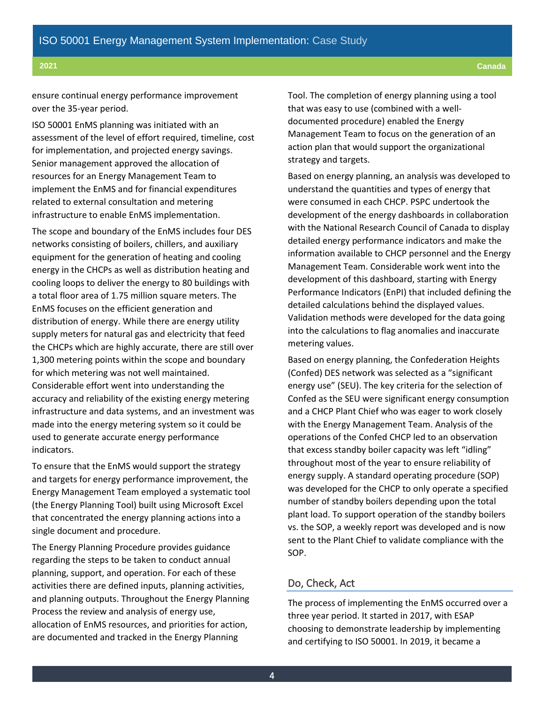#### ensure continual energy performance improvement over the 35-year period.

ISO 50001 EnMS planning was initiated with an assessment of the level of effort required, timeline, cost for implementation, and projected energy savings. Senior management approved the allocation of resources for an Energy Management Team to implement the EnMS and for financial expenditures related to external consultation and metering infrastructure to enable EnMS implementation.

The scope and boundary of the EnMS includes four DES networks consisting of boilers, chillers, and auxiliary equipment for the generation of heating and cooling energy in the CHCPs as well as distribution heating and cooling loops to deliver the energy to 80 buildings with a total floor area of 1.75 million square meters. The EnMS focuses on the efficient generation and distribution of energy. While there are energy utility supply meters for natural gas and electricity that feed the CHCPs which are highly accurate, there are still over 1,300 metering points within the scope and boundary for which metering was not well maintained. Considerable effort went into understanding the accuracy and reliability of the existing energy metering infrastructure and data systems, and an investment was made into the energy metering system so it could be used to generate accurate energy performance indicators.

To ensure that the EnMS would support the strategy and targets for energy performance improvement, the Energy Management Team employed a systematic tool (the Energy Planning Tool) built using Microsoft Excel that concentrated the energy planning actions into a single document and procedure.

The Energy Planning Procedure provides guidance regarding the steps to be taken to conduct annual planning, support, and operation. For each of these activities there are defined inputs, planning activities, and planning outputs. Throughout the Energy Planning Process the review and analysis of energy use, allocation of EnMS resources, and priorities for action, are documented and tracked in the Energy Planning

Tool. The completion of energy planning using a tool that was easy to use (combined with a welldocumented procedure) enabled the Energy Management Team to focus on the generation of an action plan that would support the organizational strategy and targets.

Based on energy planning, an analysis was developed to understand the quantities and types of energy that were consumed in each CHCP. PSPC undertook the development of the energy dashboards in collaboration with the National Research Council of Canada to display detailed energy performance indicators and make the information available to CHCP personnel and the Energy Management Team. Considerable work went into the development of this dashboard, starting with Energy Performance Indicators (EnPI) that included defining the detailed calculations behind the displayed values. Validation methods were developed for the data going into the calculations to flag anomalies and inaccurate metering values.

Based on energy planning, the Confederation Heights (Confed) DES network was selected as a "significant energy use" (SEU). The key criteria for the selection of Confed as the SEU were significant energy consumption and a CHCP Plant Chief who was eager to work closely with the Energy Management Team. Analysis of the operations of the Confed CHCP led to an observation that excess standby boiler capacity was left "idling" throughout most of the year to ensure reliability of energy supply. A standard operating procedure (SOP) was developed for the CHCP to only operate a specified number of standby boilers depending upon the total plant load. To support operation of the standby boilers vs. the SOP, a weekly report was developed and is now sent to the Plant Chief to validate compliance with the SOP.

#### Do, Check, Act

The process of implementing the EnMS occurred over a three year period. It started in 2017, with ESAP choosing to demonstrate leadership by implementing and certifying to ISO 50001. In 2019, it became a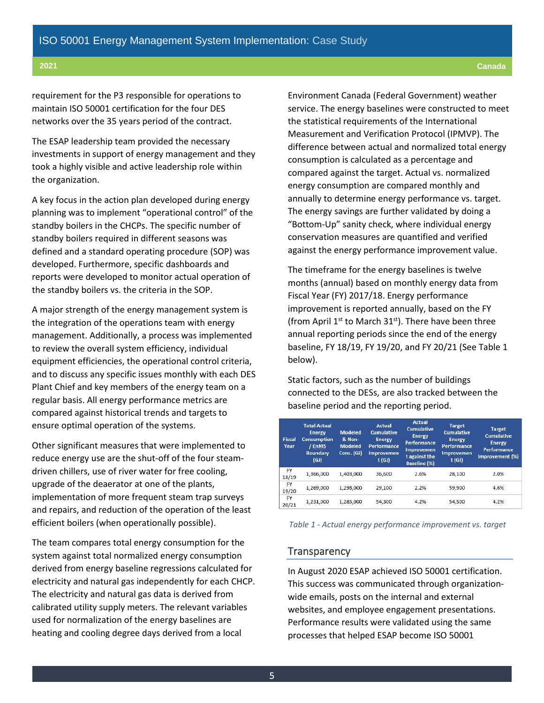#### **2021 Canada**

requirement for the P3 responsible for operations to maintain ISO 50001 certification for the four DES networks over the 35 years period of the contract.

The ESAP leadership team provided the necessary investments in support of energy management and they took a highly visible and active leadership role within the organization.

A key focus in the action plan developed during energy planning was to implement "operational control" of the standby boilers in the CHCPs. The specific number of standby boilers required in different seasons was defined and a standard operating procedure (SOP) was developed. Furthermore, specific dashboards and reports were developed to monitor actual operation of the standby boilers vs. the criteria in the SOP.

A major strength of the energy management system is the integration of the operations team with energy management. Additionally, a process was implemented to review the overall system efficiency, individual equipment efficiencies, the operational control criteria, and to discuss any specific issues monthly with each DES Plant Chief and key members of the energy team on a regular basis. All energy performance metrics are compared against historical trends and targets to ensure optimal operation of the systems.

Other significant measures that were implemented to reduce energy use are the shut-off of the four steamdriven chillers, use of river water for free cooling, upgrade of the deaerator at one of the plants, implementation of more frequent steam trap surveys and repairs, and reduction of the operation of the least efficient boilers (when operationally possible).

The team compares total energy consumption for the system against total normalized energy consumption derived from energy baseline regressions calculated for electricity and natural gas independently for each CHCP. The electricity and natural gas data is derived from calibrated utility supply meters. The relevant variables used for normalization of the energy baselines are heating and cooling degree days derived from a local

Environment Canada (Federal Government) weather service. The energy baselines were constructed to meet the statistical requirements of the International Measurement and Verification Protocol (IPMVP). The difference between actual and normalized total energy consumption is calculated as a percentage and compared against the target. Actual vs. normalized energy consumption are compared monthly and annually to determine energy performance vs. target. The energy savings are further validated by doing a "Bottom-Up" sanity check, where individual energy conservation measures are quantified and verified against the energy performance improvement value.

The timeframe for the energy baselines is twelve months (annual) based on monthly energy data from Fiscal Year (FY) 2017/18. Energy performance improvement is reported annually, based on the FY (from April  $1^{st}$  to March  $31^{st}$ ). There have been three annual reporting periods since the end of the energy baseline, FY 18/19, FY 19/20, and FY 20/21 (See Table 1 below).

Static factors, such as the number of buildings connected to the DESs, are also tracked between the baseline period and the reporting period.

| <b>Fiscal</b><br>Year | <b>Total Actual</b><br><b>Energy</b><br>Consumption<br>/ EnMS<br><b>Boundary</b><br>(GJ) | <b>Modeled</b><br>& Non-<br><b>Modeled</b><br>Cons. (GJ) | <b>Actual</b><br><b>Cumulative</b><br><b>Energy</b><br><b>Performance</b><br><b>Improvemen</b><br>t(GJ) | <b>Actual</b><br><b>Cumulative</b><br><b>Energy</b><br>Performance<br><b>Improvemen</b><br>t against the<br><b>Baseline (%)</b> | <b>Target</b><br><b>Cumulative</b><br><b>Energy</b><br><b>Performance</b><br><b>Improvemen</b><br>t(GJ) | <b>Target</b><br><b>Cumulative</b><br><b>Energy</b><br><b>Performance</b><br>Improvement (%) |
|-----------------------|------------------------------------------------------------------------------------------|----------------------------------------------------------|---------------------------------------------------------------------------------------------------------|---------------------------------------------------------------------------------------------------------------------------------|---------------------------------------------------------------------------------------------------------|----------------------------------------------------------------------------------------------|
| FY<br>18/19           | 1,366,000                                                                                | 1,403,000                                                | 36,600                                                                                                  | 2.6%                                                                                                                            | 28,100                                                                                                  | 2.0%                                                                                         |
| FY<br>19/20           | 1,269,000                                                                                | 1,298,000                                                | 29,100                                                                                                  | 2.2%                                                                                                                            | 59,900                                                                                                  | 4.6%                                                                                         |
| FY<br>20/21           | 1,231,000                                                                                | 1,285,000                                                | 54,300                                                                                                  | 4.2%                                                                                                                            | 54,500                                                                                                  | 4.2%                                                                                         |

*Table 1 - Actual energy performance improvement vs. target*

#### **Transparency**

In August 2020 ESAP achieved ISO 50001 certification. This success was communicated through organizationwide emails, posts on the internal and external websites, and employee engagement presentations. Performance results were validated using the same processes that helped ESAP become ISO 50001